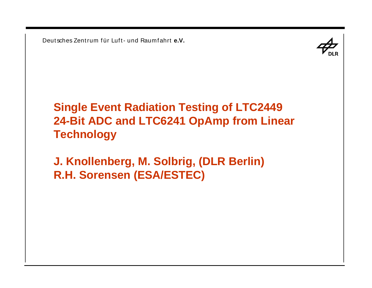

# **Single Event Radiation Testing of LTC2449 24-Bit ADC and LTC6241 OpAmp from Linear Technology**

**J. Knollenberg, M. Solbrig, (DLR Berlin) R.H. Sorensen (ESA/ESTEC)**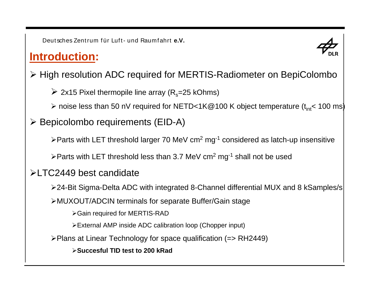### **Introduction:**



¾ High resolution ADC required for MERTIS-Radiometer on BepiColombo

 $\triangleright$  2x15 Pixel thermopile line array (R<sub>s</sub>=25 kOhms)

 $\triangleright$  noise less than 50 nV required for NETD<1K@100 K object temperature (t<sub>int</sub>< 100 ms)

### ¾ Bepicolombo requirements (EID-A)

¾Parts with LET threshold larger 70 MeV cm<sup>2</sup> mg-<sup>1</sup> considered as latch-up insensitive

 $\triangleright$ Parts with LET threshold less than 3.7 MeV cm<sup>2</sup> mg<sup>-1</sup> shall not be used

#### ¾LTC2449 best candidate

¾24-Bit Sigma-Delta ADC with integrated 8-Channel differential MUX and 8 kSamples/s

¾MUXOUT/ADCIN terminals for separate Buffer/Gain stage

¾Gain required for MERTIS-RAD

¾External AMP inside ADC calibration loop (Chopper input)

¾Plans at Linear Technology for space qualification (=> RH2449)

¾**Succesful TID test to 200 kRad**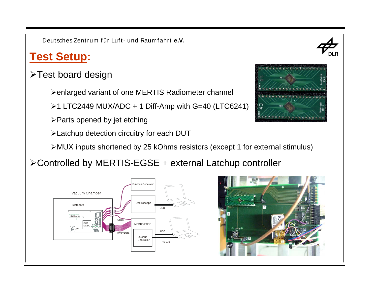## **Test Setup:**

### ¾Test board design

¾enlarged variant of one MERTIS Radiometer channel

 $\geq 1$  LTC2449 MUX/ADC + 1 Diff-Amp with G=40 (LTC6241)

 $\triangleright$  Parts opened by jet etching

¾Latchup detection circuitry for each DUT

¾MUX inputs shortened by 25 kOhms resistors (except 1 for external stimulus)

¾Controlled by MERTIS-EGSE + external Latchup controller







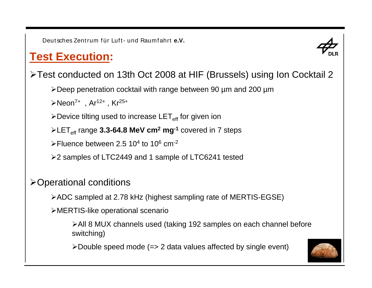# **Test Execution:**



¾Test conducted on 13th Oct 2008 at HIF (Brussels) using Ion Cocktail 2

¾Deep penetration cocktail with range between 90 µm and 200 µm

 $\triangleright$ Neon<sup>7+</sup>, Ar<sup>12+</sup>, Kr<sup>25+</sup>

 $\blacktriangleright$ Device tilting used to increase LET $_{\mathsf{eff}}$  for given ion

¾LETeff range **3.3-64.8 MeV cm<sup>2</sup> mg-<sup>1</sup>** covered in 7 steps

≻Fluence between 2.5 10<sup>4</sup> to 10<sup>6</sup> cm<sup>-2</sup>

¾2 samples of LTC2449 and 1 sample of LTC6241 tested

### ¾Operational conditions

¾ADC sampled at 2.78 kHz (highest sampling rate of MERTIS-EGSE)

¾MERTIS-like operational scenario

¾All 8 MUX channels used (taking 192 samples on each channel before switching)

¾Double speed mode (=> 2 data values affected by single event)

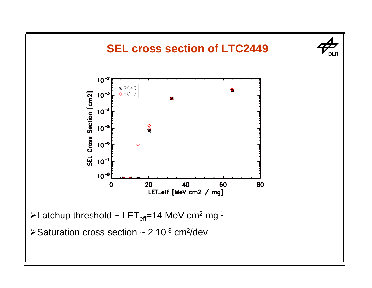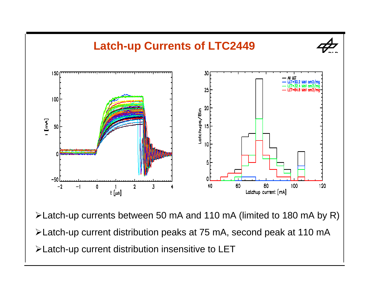

Latch-up currents between 50 mA and 110 mA (limited to 180 mA by R) Latch-up current distribution peaks at 75 mA, second peak at 110 mA Latch-up current distribution insensitive to LET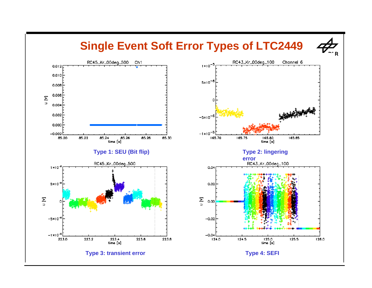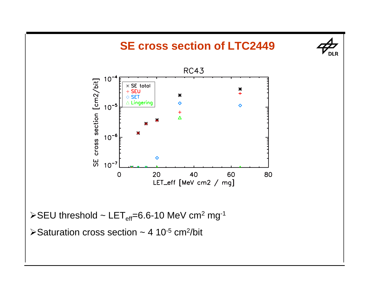

 $\triangleright$  Saturation cross section ~ 4 10<sup>-5</sup> cm<sup>2</sup>/bit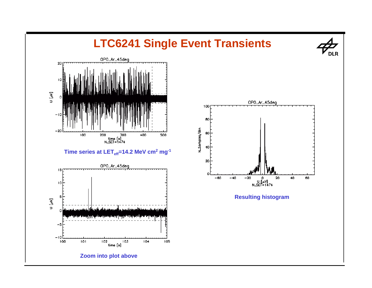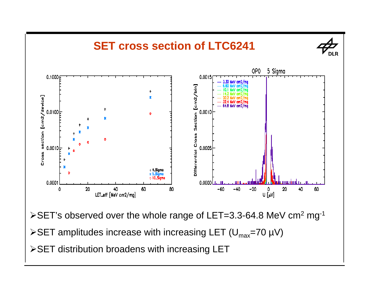

- $\triangleright$ SET amplitudes increase with increasing LET (U<sub>max</sub>=70 µV)
- ¾SET distribution broadens with increasing LET